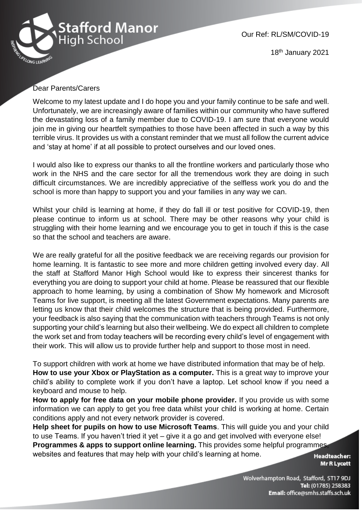

Our Ref: RL/SM/COVID-19

18th January 2021

## Dear Parents/Carers

Welcome to my latest update and I do hope you and your family continue to be safe and well. Unfortunately, we are increasingly aware of families within our community who have suffered the devastating loss of a family member due to COVID-19. I am sure that everyone would join me in giving our heartfelt sympathies to those have been affected in such a way by this terrible virus. It provides us with a constant reminder that we must all follow the current advice and 'stay at home' if at all possible to protect ourselves and our loved ones.

I would also like to express our thanks to all the frontline workers and particularly those who work in the NHS and the care sector for all the tremendous work they are doing in such difficult circumstances. We are incredibly appreciative of the selfless work you do and the school is more than happy to support you and your families in any way we can.

Whilst your child is learning at home, if they do fall ill or test positive for COVID-19, then please continue to inform us at school. There may be other reasons why your child is struggling with their home learning and we encourage you to get in touch if this is the case so that the school and teachers are aware.

We are really grateful for all the positive feedback we are receiving regards our provision for home learning. It is fantastic to see more and more children getting involved every day. All the staff at Stafford Manor High School would like to express their sincerest thanks for everything you are doing to support your child at home. Please be reassured that our flexible approach to home learning, by using a combination of Show My homework and Microsoft Teams for live support, is meeting all the latest Government expectations. Many parents are letting us know that their child welcomes the structure that is being provided. Furthermore, your feedback is also saying that the communication with teachers through Teams is not only supporting your child's learning but also their wellbeing. We do expect all children to complete the work set and from today teachers will be recording every child's level of engagement with their work. This will allow us to provide further help and support to those most in need.

To support children with work at home we have distributed information that may be of help. **How to use your Xbox or PlayStation as a computer.** This is a great way to improve your child's ability to complete work if you don't have a laptop. Let school know if you need a keyboard and mouse to help.

**How to apply for free data on your mobile phone provider.** If you provide us with some information we can apply to get you free data whilst your child is working at home. Certain conditions apply and not every network provider is covered.

**Help sheet for pupils on how to use Microsoft Teams**. This will guide you and your child to use Teams. If you haven't tried it yet – give it a go and get involved with everyone else! **Programmes & apps to support online learning.** This provides some helpful programmes, websites and features that may help with your child's learning at home.

**Headteacher:** Mr R Lycett

Wolverhampton Road, Stafford, ST17 9DJ Tel: (01785) 258383 Email: office@smhs.staffs.sch.uk